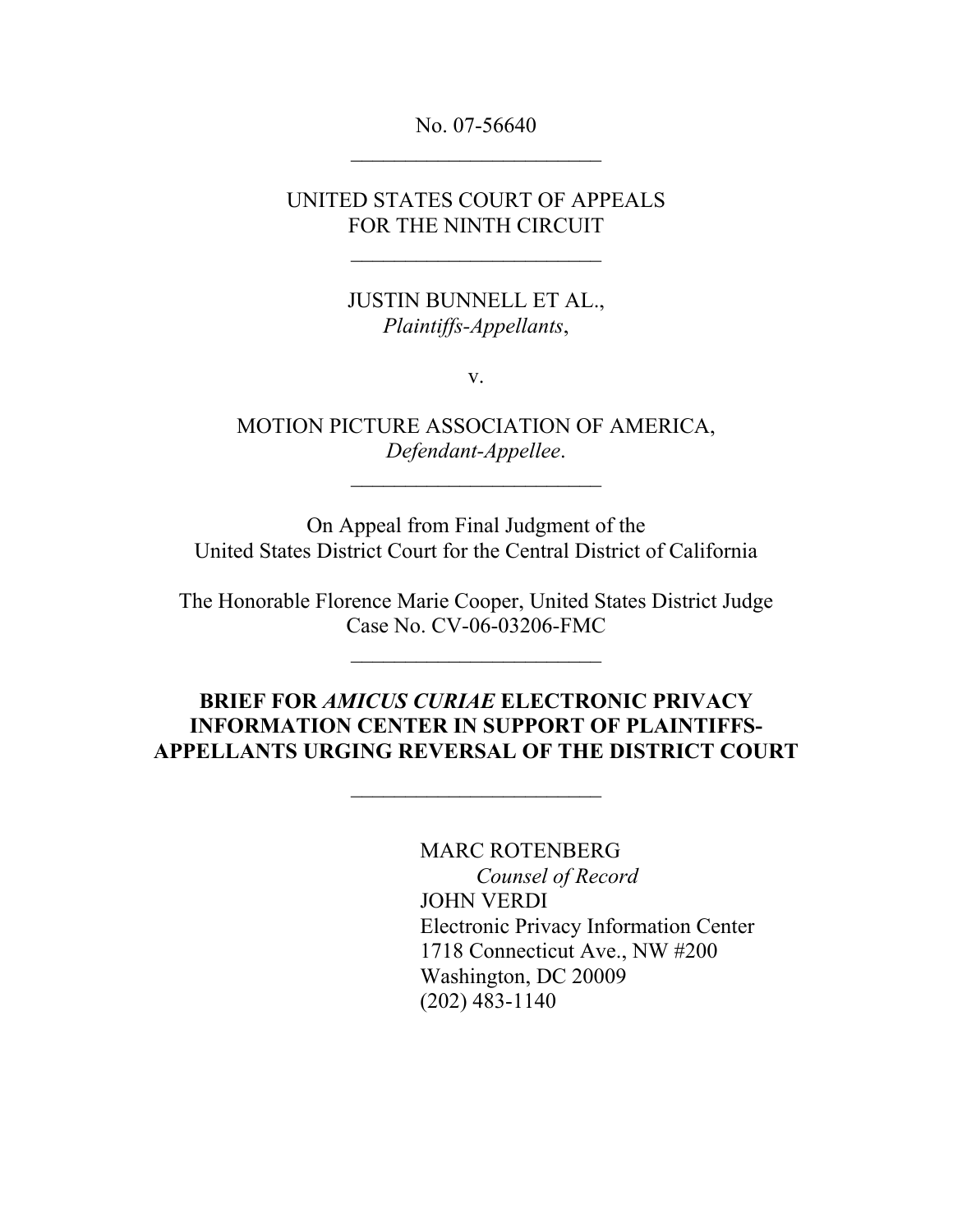No. 07-56640  $\overline{\phantom{a}}$  , where  $\overline{\phantom{a}}$ 

UNITED STATES COURT OF APPEALS FOR THE NINTH CIRCUIT

> JUSTIN BUNNELL ET AL., *Plaintiffs-Appellants*,

> > v.

MOTION PICTURE ASSOCIATION OF AMERICA, *Defendant-Appellee*.

 $\overline{\phantom{a}}$  , where  $\overline{\phantom{a}}$ 

On Appeal from Final Judgment of the United States District Court for the Central District of California

The Honorable Florence Marie Cooper, United States District Judge Case No. CV-06-03206-FMC

 $\overline{\phantom{a}}$  , where  $\overline{\phantom{a}}$ 

### **BRIEF FOR** *AMICUS CURIAE* **ELECTRONIC PRIVACY INFORMATION CENTER IN SUPPORT OF PLAINTIFFS-APPELLANTS URGING REVERSAL OF THE DISTRICT COURT**

MARC ROTENBERG *Counsel of Record* JOHN VERDI Electronic Privacy Information Center 1718 Connecticut Ave., NW #200 Washington, DC 20009 (202) 483-1140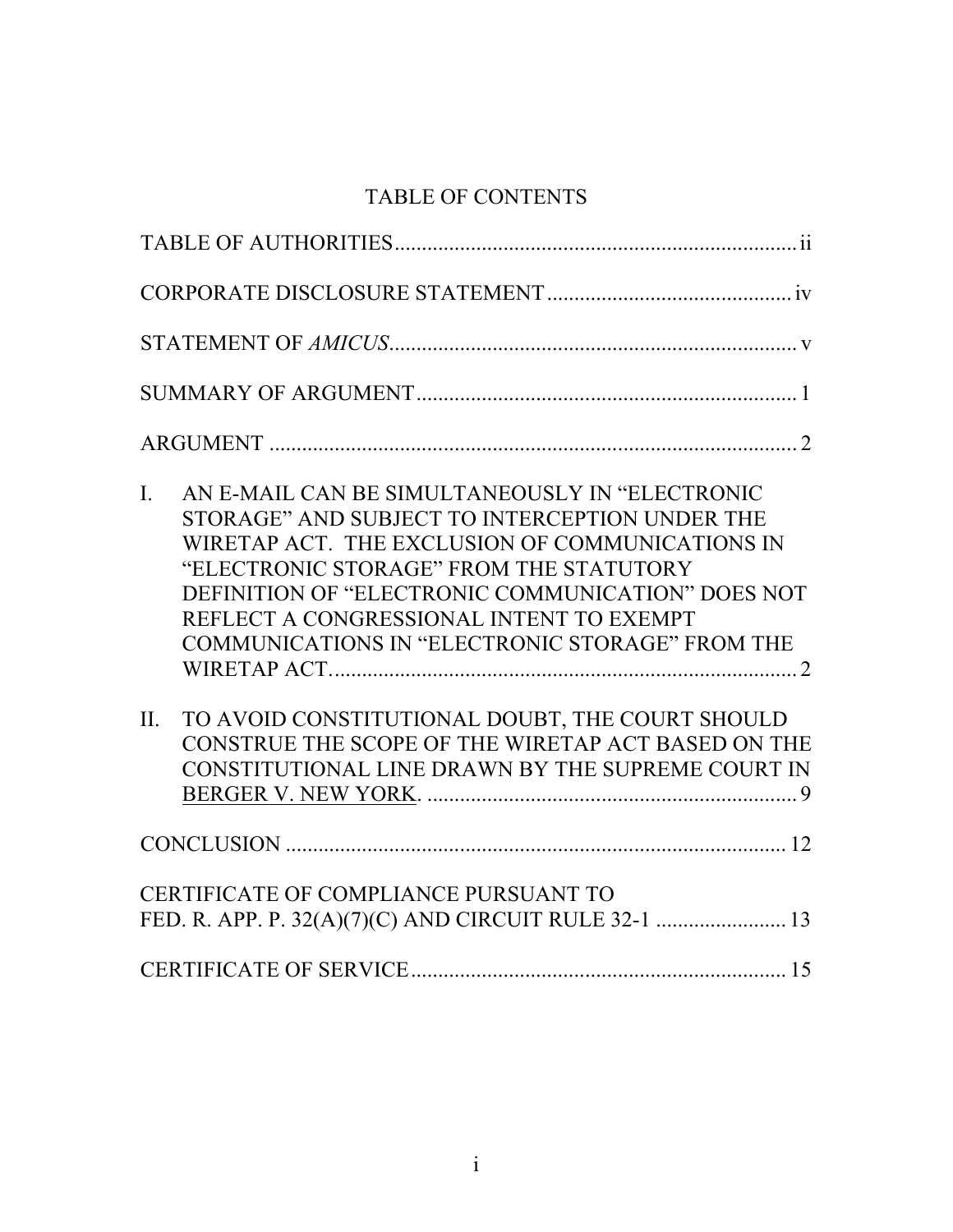# TABLE OF CONTENTS

| AN E-MAIL CAN BE SIMULTANEOUSLY IN "ELECTRONIC<br>$\mathbf{I}$ .<br>STORAGE" AND SUBJECT TO INTERCEPTION UNDER THE<br>WIRETAP ACT. THE EXCLUSION OF COMMUNICATIONS IN<br>"ELECTRONIC STORAGE" FROM THE STATUTORY<br>DEFINITION OF "ELECTRONIC COMMUNICATION" DOES NOT<br>REFLECT A CONGRESSIONAL INTENT TO EXEMPT<br>COMMUNICATIONS IN "ELECTRONIC STORAGE" FROM THE |  |
|----------------------------------------------------------------------------------------------------------------------------------------------------------------------------------------------------------------------------------------------------------------------------------------------------------------------------------------------------------------------|--|
| TO AVOID CONSTITUTIONAL DOUBT, THE COURT SHOULD<br>$\Pi$ .<br>CONSTRUE THE SCOPE OF THE WIRETAP ACT BASED ON THE<br>CONSTITUTIONAL LINE DRAWN BY THE SUPREME COURT IN                                                                                                                                                                                                |  |
|                                                                                                                                                                                                                                                                                                                                                                      |  |
| CERTIFICATE OF COMPLIANCE PURSUANT TO                                                                                                                                                                                                                                                                                                                                |  |
|                                                                                                                                                                                                                                                                                                                                                                      |  |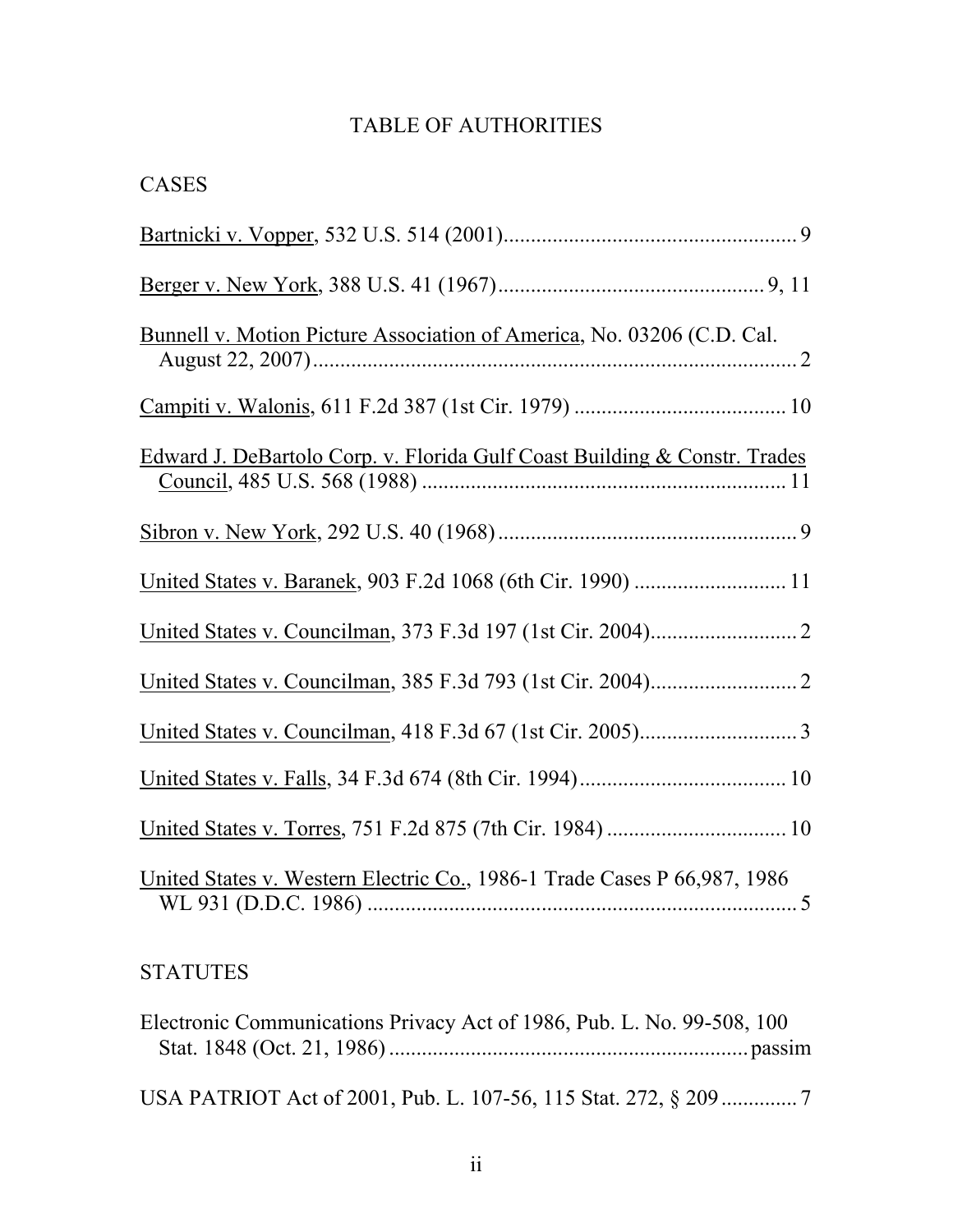## TABLE OF AUTHORITIES

| <b>CASES</b>                                                              |
|---------------------------------------------------------------------------|
|                                                                           |
|                                                                           |
| Bunnell v. Motion Picture Association of America, No. 03206 (C.D. Cal.    |
|                                                                           |
| Edward J. DeBartolo Corp. v. Florida Gulf Coast Building & Constr. Trades |
|                                                                           |
|                                                                           |
|                                                                           |
|                                                                           |
|                                                                           |
|                                                                           |
|                                                                           |
| United States v. Western Electric Co., 1986-1 Trade Cases P 66,987, 1986  |

# **STATUTES**

| Electronic Communications Privacy Act of 1986, Pub. L. No. 99-508, 100 |  |
|------------------------------------------------------------------------|--|
|                                                                        |  |
|                                                                        |  |
|                                                                        |  |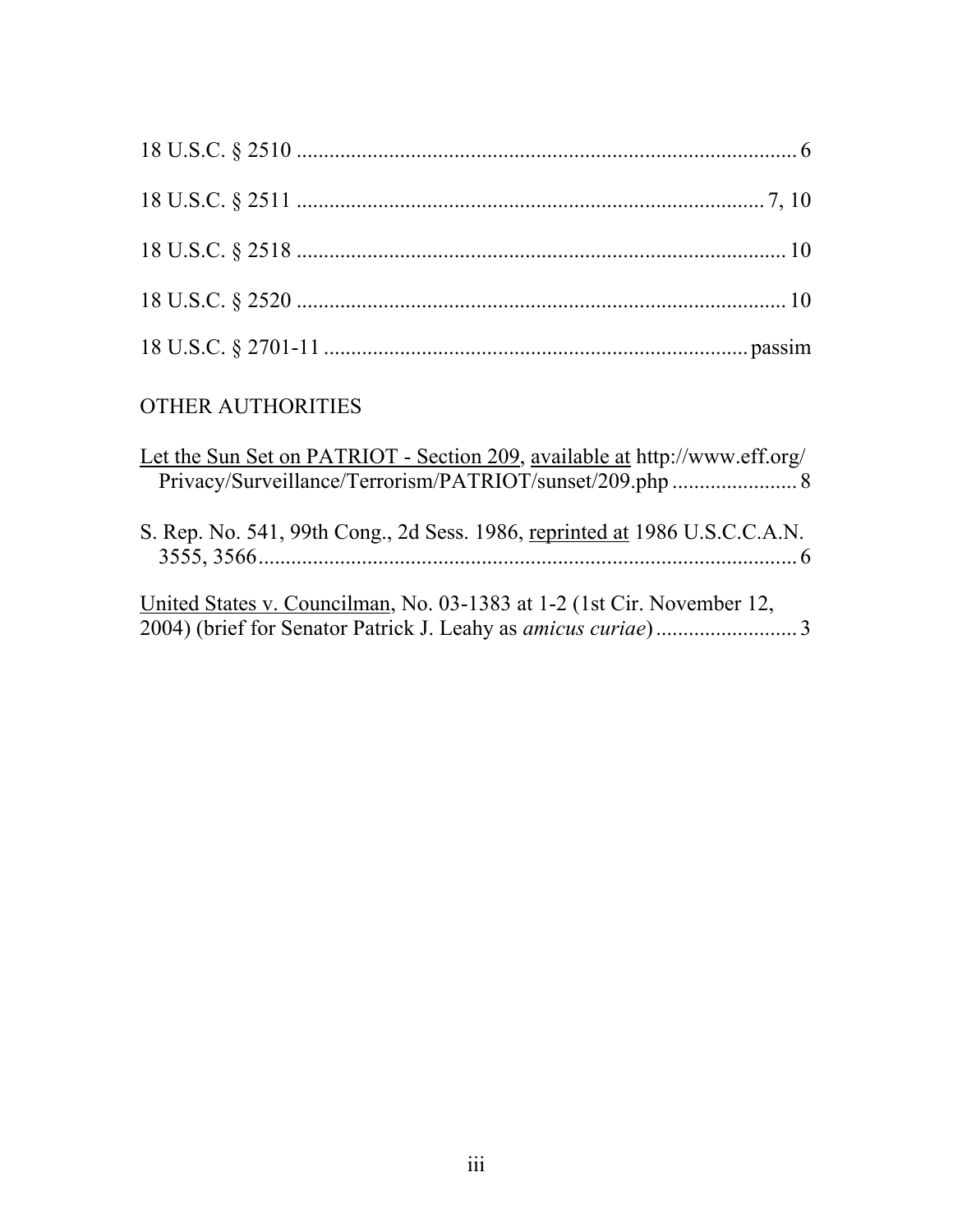| <b>OTHER AUTHORITIES</b>                                                   |  |
|----------------------------------------------------------------------------|--|
| Let the Sun Set on PATRIOT - Section 209, available at http://www.eff.org/ |  |

| Let the Sun Set on PATRIOT - Section 209, available at $\frac{f(1)}{f(1)}$ www.eff.org/ |  |
|-----------------------------------------------------------------------------------------|--|
|                                                                                         |  |
| S. Rep. No. 541, 99th Cong., 2d Sess. 1986, reprinted at 1986 U.S.C.C.A.N.              |  |
| United States y Councilman, No. 03-1383 at 1-2 (1st Cir. November 12)                   |  |

United States v. Councilman, No. 03-1383 at 1-2 (1st Cir. November 12, 2004) (brief for Senator Patrick J. Leahy as *amicus curiae*).......................... 3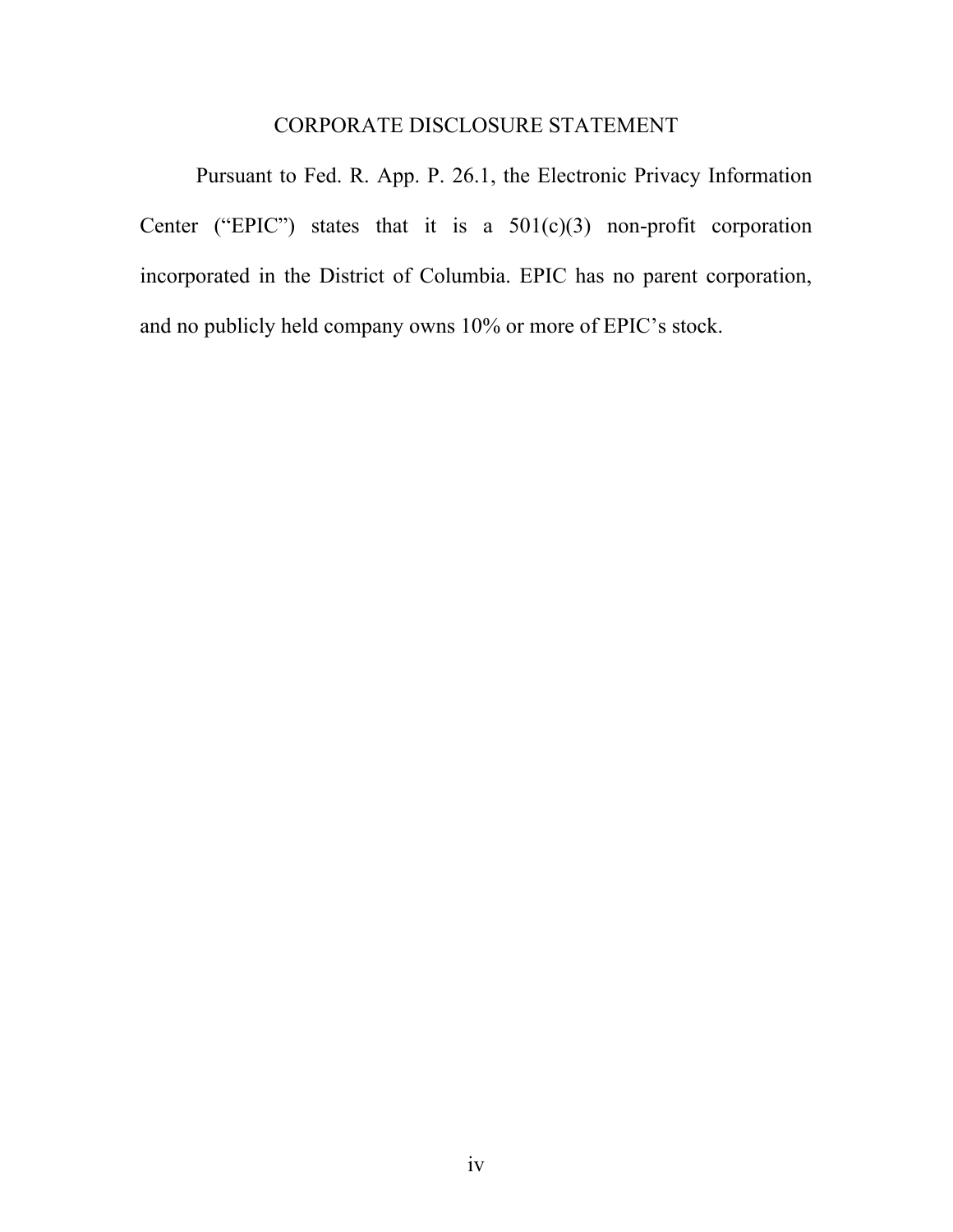### CORPORATE DISCLOSURE STATEMENT

Pursuant to Fed. R. App. P. 26.1, the Electronic Privacy Information Center ("EPIC") states that it is a  $501(c)(3)$  non-profit corporation incorporated in the District of Columbia. EPIC has no parent corporation, and no publicly held company owns 10% or more of EPIC's stock.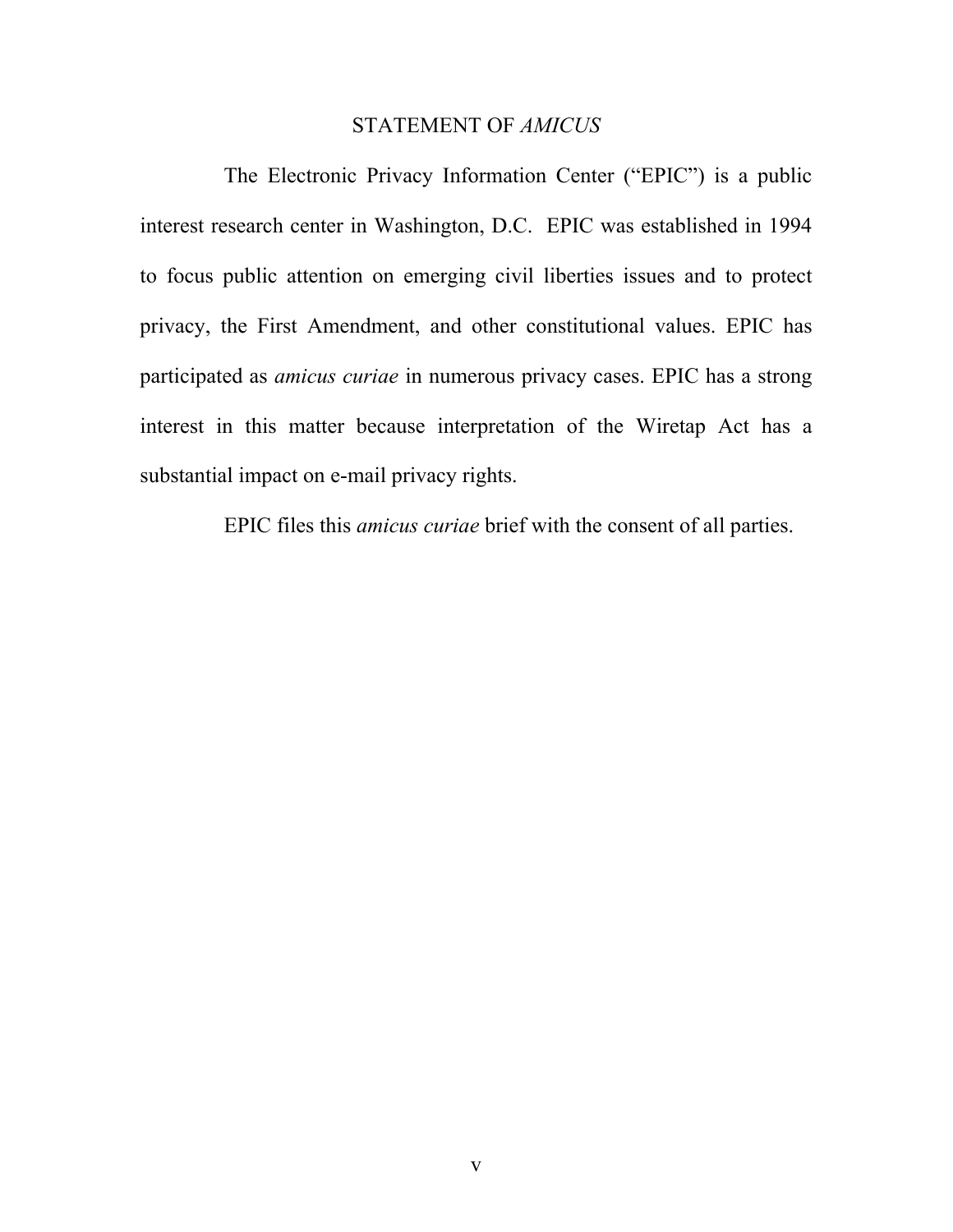#### STATEMENT OF *AMICUS*

The Electronic Privacy Information Center ("EPIC") is a public interest research center in Washington, D.C. EPIC was established in 1994 to focus public attention on emerging civil liberties issues and to protect privacy, the First Amendment, and other constitutional values. EPIC has participated as *amicus curiae* in numerous privacy cases. EPIC has a strong interest in this matter because interpretation of the Wiretap Act has a substantial impact on e-mail privacy rights.

EPIC files this *amicus curiae* brief with the consent of all parties.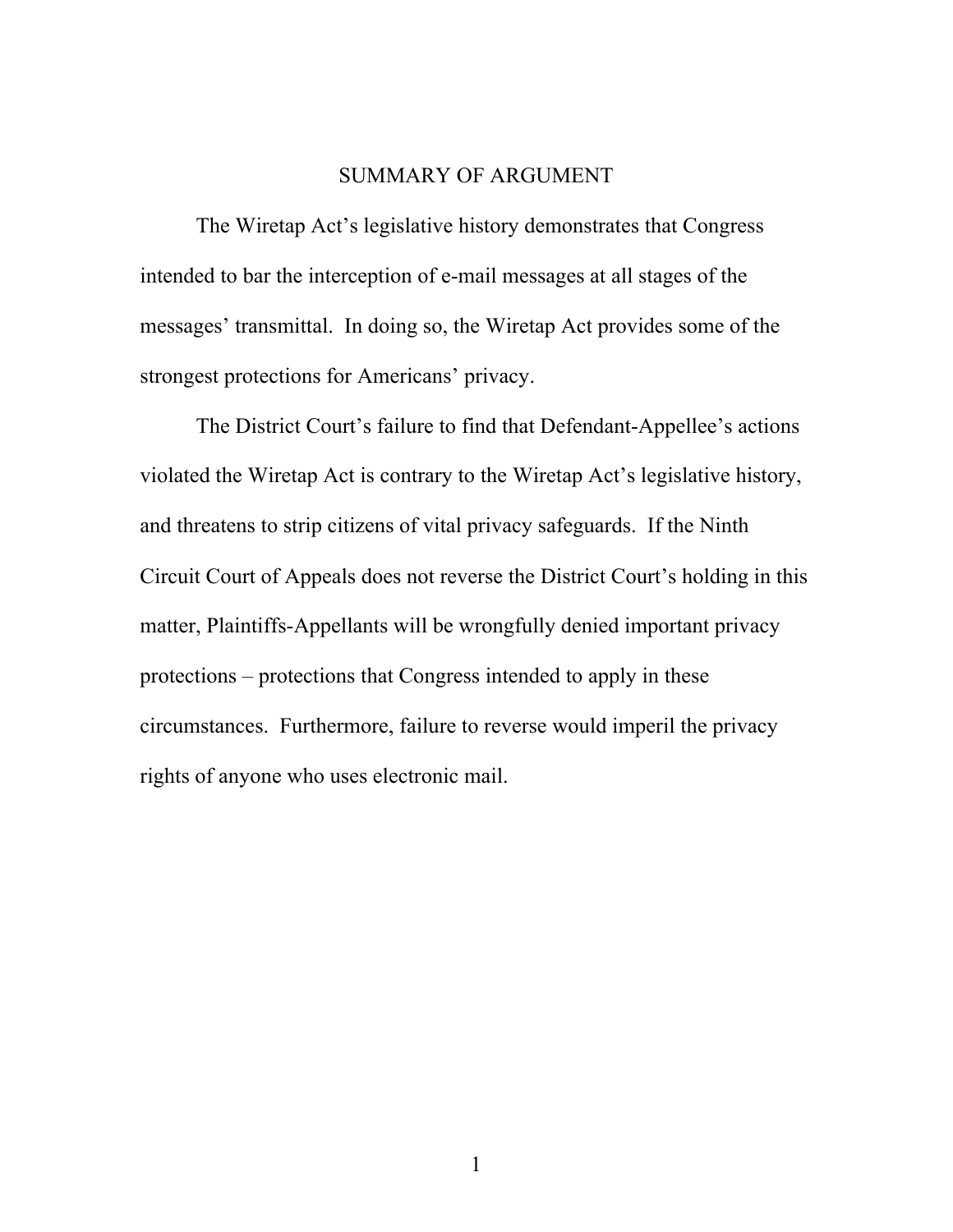### SUMMARY OF ARGUMENT

The Wiretap Act's legislative history demonstrates that Congress intended to bar the interception of e-mail messages at all stages of the messages' transmittal. In doing so, the Wiretap Act provides some of the strongest protections for Americans' privacy.

The District Court's failure to find that Defendant-Appellee's actions violated the Wiretap Act is contrary to the Wiretap Act's legislative history, and threatens to strip citizens of vital privacy safeguards. If the Ninth Circuit Court of Appeals does not reverse the District Court's holding in this matter, Plaintiffs-Appellants will be wrongfully denied important privacy protections – protections that Congress intended to apply in these circumstances. Furthermore, failure to reverse would imperil the privacy rights of anyone who uses electronic mail.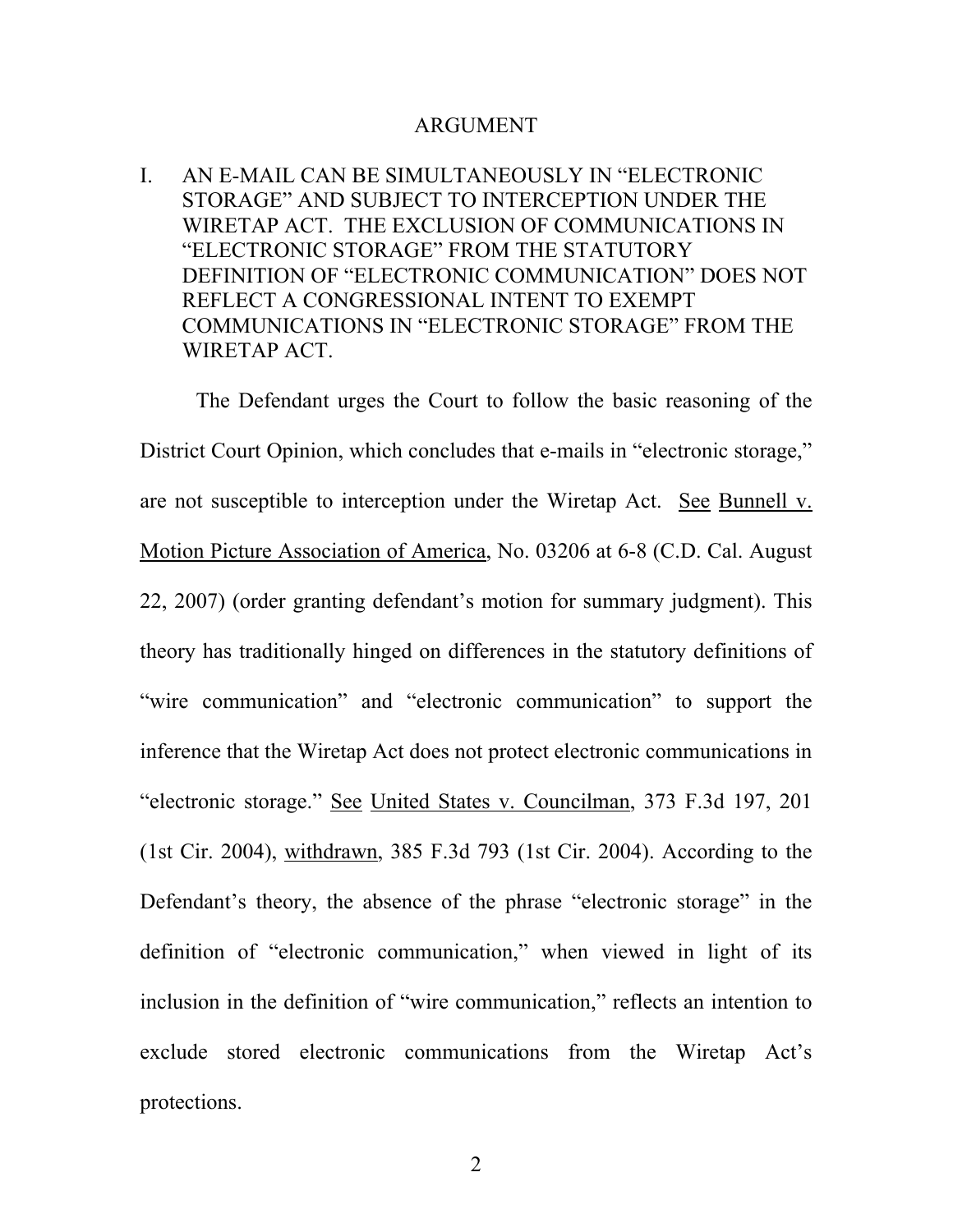#### ARGUMENT

I. AN E-MAIL CAN BE SIMULTANEOUSLY IN "ELECTRONIC STORAGE" AND SUBJECT TO INTERCEPTION UNDER THE WIRETAP ACT. THE EXCLUSION OF COMMUNICATIONS IN "ELECTRONIC STORAGE" FROM THE STATUTORY DEFINITION OF "ELECTRONIC COMMUNICATION" DOES NOT REFLECT A CONGRESSIONAL INTENT TO EXEMPT COMMUNICATIONS IN "ELECTRONIC STORAGE" FROM THE WIRETAP ACT.

The Defendant urges the Court to follow the basic reasoning of the District Court Opinion, which concludes that e-mails in "electronic storage," are not susceptible to interception under the Wiretap Act. See Bunnell v. Motion Picture Association of America, No. 03206 at 6-8 (C.D. Cal. August 22, 2007) (order granting defendant's motion for summary judgment). This theory has traditionally hinged on differences in the statutory definitions of "wire communication" and "electronic communication" to support the inference that the Wiretap Act does not protect electronic communications in "electronic storage." See United States v. Councilman, 373 F.3d 197, 201 (1st Cir. 2004), withdrawn, 385 F.3d 793 (1st Cir. 2004). According to the Defendant's theory, the absence of the phrase "electronic storage" in the definition of "electronic communication," when viewed in light of its inclusion in the definition of "wire communication," reflects an intention to exclude stored electronic communications from the Wiretap Act's protections.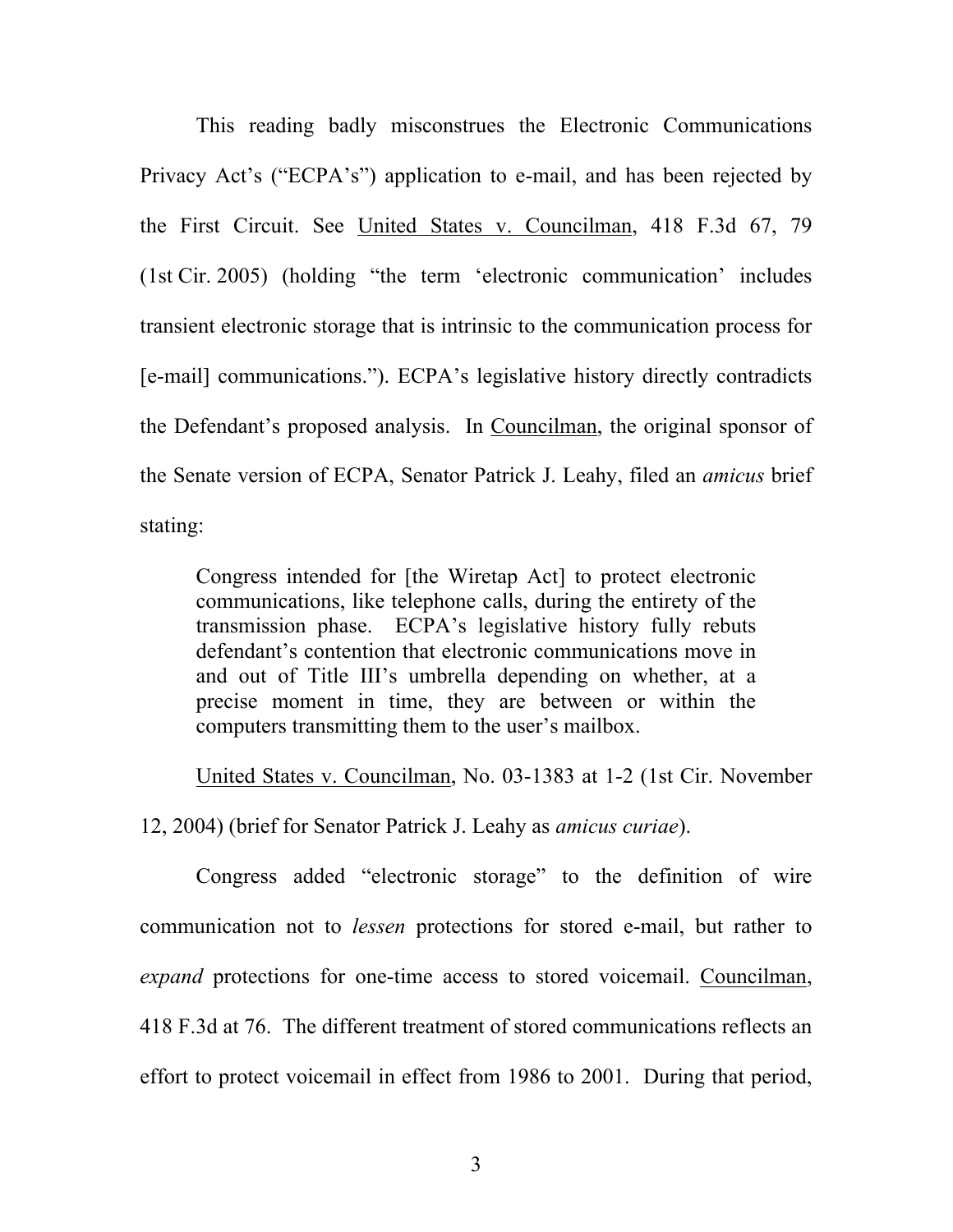This reading badly misconstrues the Electronic Communications Privacy Act's ("ECPA's") application to e-mail, and has been rejected by the First Circuit. See United States v. Councilman, 418 F.3d 67, 79 (1st Cir. 2005) (holding "the term 'electronic communication' includes transient electronic storage that is intrinsic to the communication process for [e-mail] communications."). ECPA's legislative history directly contradicts the Defendant's proposed analysis. In Councilman, the original sponsor of the Senate version of ECPA, Senator Patrick J. Leahy, filed an *amicus* brief stating:

Congress intended for [the Wiretap Act] to protect electronic communications, like telephone calls, during the entirety of the transmission phase. ECPA's legislative history fully rebuts defendant's contention that electronic communications move in and out of Title III's umbrella depending on whether, at a precise moment in time, they are between or within the computers transmitting them to the user's mailbox.

United States v. Councilman, No. 03-1383 at 1-2 (1st Cir. November 12, 2004) (brief for Senator Patrick J. Leahy as *amicus curiae*).

Congress added "electronic storage" to the definition of wire communication not to *lessen* protections for stored e-mail, but rather to *expand* protections for one-time access to stored voicemail. Councilman, 418 F.3d at 76. The different treatment of stored communications reflects an effort to protect voicemail in effect from 1986 to 2001. During that period,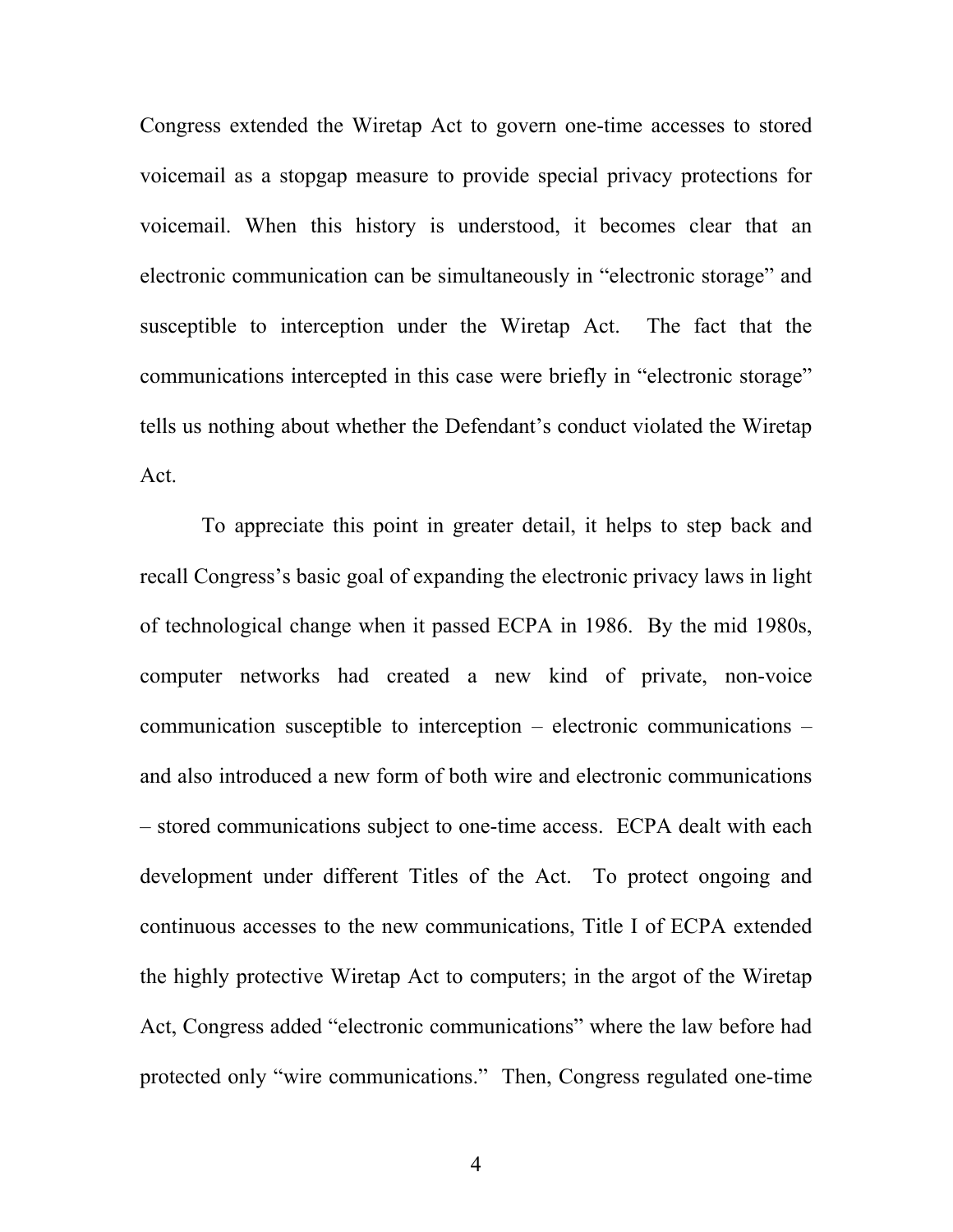Congress extended the Wiretap Act to govern one-time accesses to stored voicemail as a stopgap measure to provide special privacy protections for voicemail. When this history is understood, it becomes clear that an electronic communication can be simultaneously in "electronic storage" and susceptible to interception under the Wiretap Act. The fact that the communications intercepted in this case were briefly in "electronic storage" tells us nothing about whether the Defendant's conduct violated the Wiretap Act.

 To appreciate this point in greater detail, it helps to step back and recall Congress's basic goal of expanding the electronic privacy laws in light of technological change when it passed ECPA in 1986. By the mid 1980s, computer networks had created a new kind of private, non-voice communication susceptible to interception – electronic communications – and also introduced a new form of both wire and electronic communications – stored communications subject to one-time access. ECPA dealt with each development under different Titles of the Act. To protect ongoing and continuous accesses to the new communications, Title I of ECPA extended the highly protective Wiretap Act to computers; in the argot of the Wiretap Act, Congress added "electronic communications" where the law before had protected only "wire communications." Then, Congress regulated one-time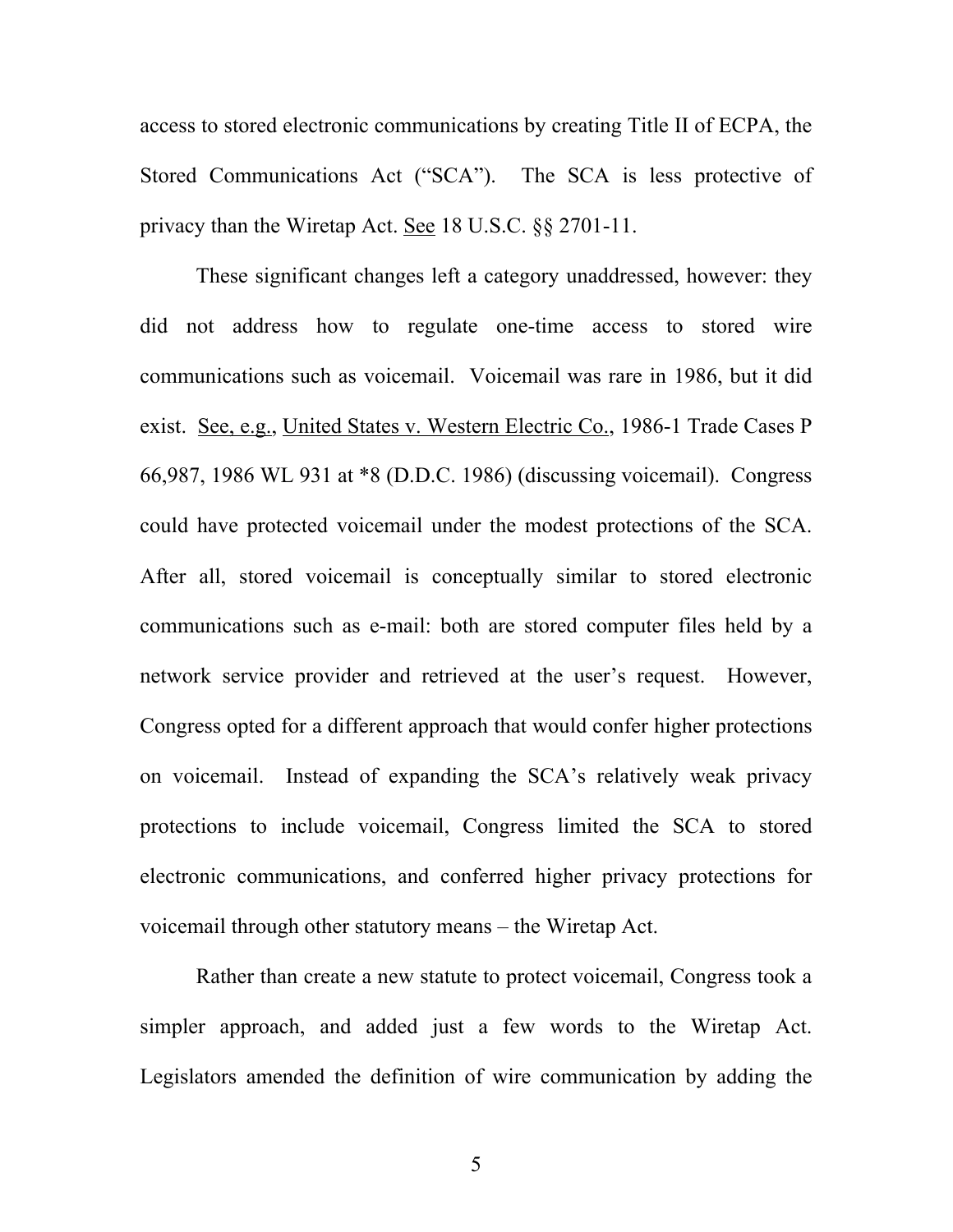access to stored electronic communications by creating Title II of ECPA, the Stored Communications Act ("SCA"). The SCA is less protective of privacy than the Wiretap Act. See 18 U.S.C. §§ 2701-11.

These significant changes left a category unaddressed, however: they did not address how to regulate one-time access to stored wire communications such as voicemail. Voicemail was rare in 1986, but it did exist. See, e.g., United States v. Western Electric Co., 1986-1 Trade Cases P 66,987, 1986 WL 931 at \*8 (D.D.C. 1986) (discussing voicemail). Congress could have protected voicemail under the modest protections of the SCA. After all, stored voicemail is conceptually similar to stored electronic communications such as e-mail: both are stored computer files held by a network service provider and retrieved at the user's request. However, Congress opted for a different approach that would confer higher protections on voicemail. Instead of expanding the SCA's relatively weak privacy protections to include voicemail, Congress limited the SCA to stored electronic communications, and conferred higher privacy protections for voicemail through other statutory means – the Wiretap Act.

Rather than create a new statute to protect voicemail, Congress took a simpler approach, and added just a few words to the Wiretap Act. Legislators amended the definition of wire communication by adding the

5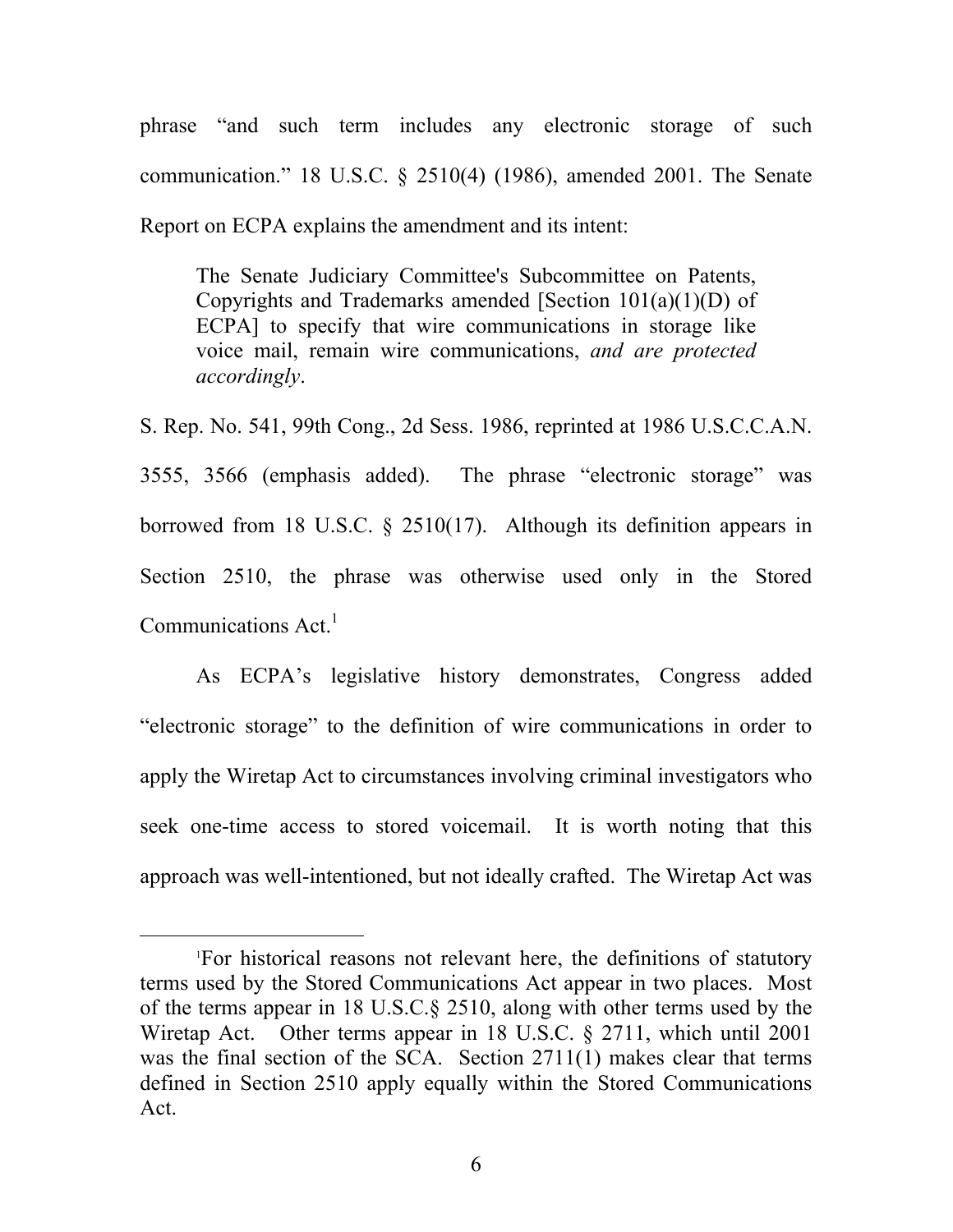phrase "and such term includes any electronic storage of such communication." 18 U.S.C. § 2510(4) (1986), amended 2001. The Senate Report on ECPA explains the amendment and its intent:

The Senate Judiciary Committee's Subcommittee on Patents, Copyrights and Trademarks amended [Section 101(a)(1)(D) of ECPA] to specify that wire communications in storage like voice mail, remain wire communications, *and are protected accordingly*.

S. Rep. No. 541, 99th Cong., 2d Sess. 1986, reprinted at 1986 U.S.C.C.A.N. 3555, 3566 (emphasis added). The phrase "electronic storage" was borrowed from 18 U.S.C. § 2510(17). Although its definition appears in Section 2510, the phrase was otherwise used only in the Stored Communications Act.<sup>1</sup>

As ECPA's legislative history demonstrates, Congress added "electronic storage" to the definition of wire communications in order to apply the Wiretap Act to circumstances involving criminal investigators who seek one-time access to stored voicemail. It is worth noting that this approach was well-intentioned, but not ideally crafted. The Wiretap Act was

<sup>1&</sup>lt;sup>1</sup> For historical reasons not relevant here, the definitions of statutory terms used by the Stored Communications Act appear in two places. Most of the terms appear in 18 U.S.C.§ 2510, along with other terms used by the Wiretap Act. Other terms appear in 18 U.S.C. § 2711, which until 2001 was the final section of the SCA. Section 2711(1) makes clear that terms defined in Section 2510 apply equally within the Stored Communications Act.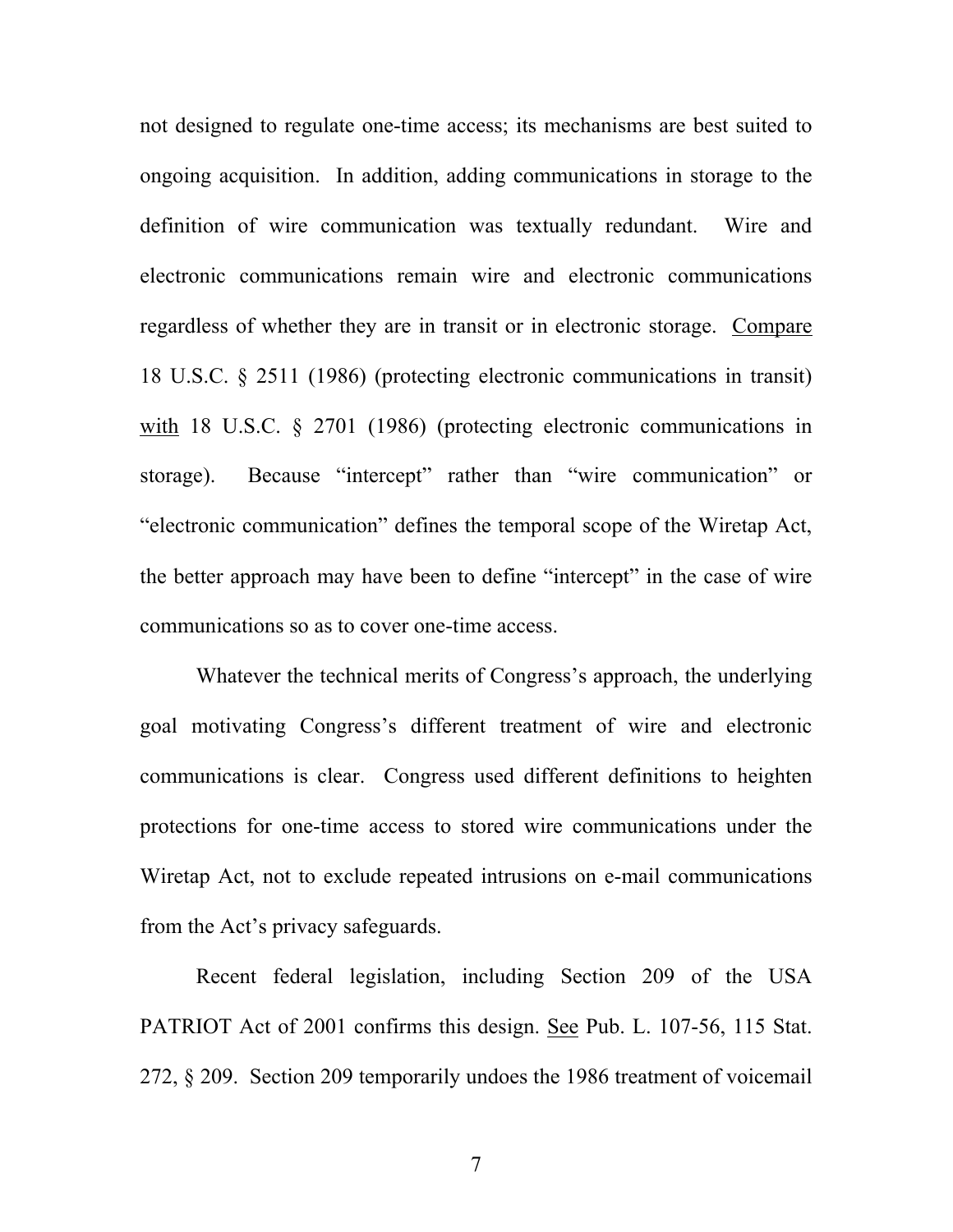not designed to regulate one-time access; its mechanisms are best suited to ongoing acquisition. In addition, adding communications in storage to the definition of wire communication was textually redundant. Wire and electronic communications remain wire and electronic communications regardless of whether they are in transit or in electronic storage. Compare 18 U.S.C. § 2511 (1986) (protecting electronic communications in transit) with 18 U.S.C. § 2701 (1986) (protecting electronic communications in storage). Because "intercept" rather than "wire communication" or "electronic communication" defines the temporal scope of the Wiretap Act, the better approach may have been to define "intercept" in the case of wire communications so as to cover one-time access.

Whatever the technical merits of Congress's approach, the underlying goal motivating Congress's different treatment of wire and electronic communications is clear. Congress used different definitions to heighten protections for one-time access to stored wire communications under the Wiretap Act, not to exclude repeated intrusions on e-mail communications from the Act's privacy safeguards.

Recent federal legislation, including Section 209 of the USA PATRIOT Act of 2001 confirms this design. See Pub. L. 107-56, 115 Stat. 272, § 209. Section 209 temporarily undoes the 1986 treatment of voicemail

7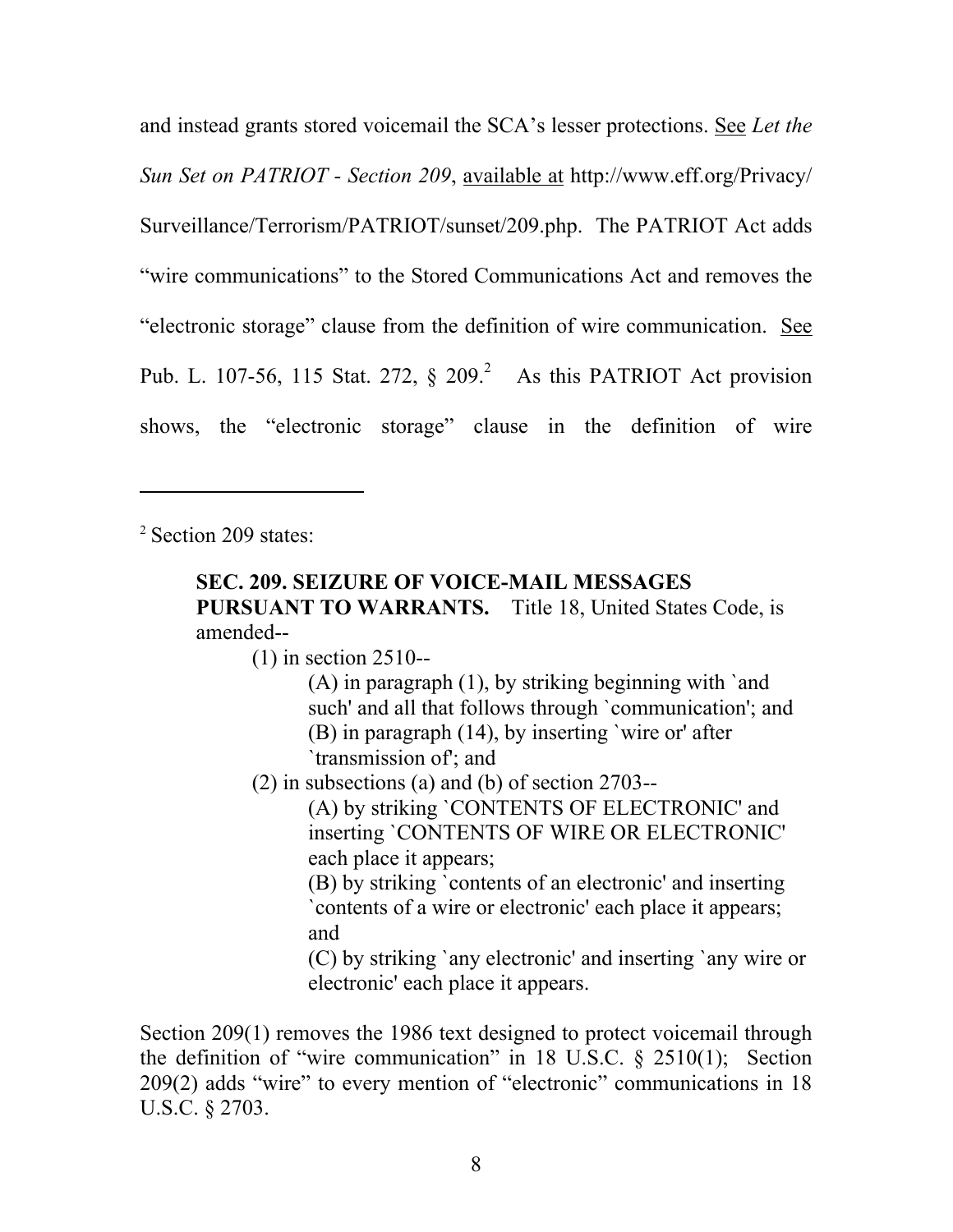and instead grants stored voicemail the SCA's lesser protections. See *Let the Sun Set on PATRIOT - Section 209*, available at http://www.eff.org/Privacy/ Surveillance/Terrorism/PATRIOT/sunset/209.php. The PATRIOT Act adds "wire communications" to the Stored Communications Act and removes the "electronic storage" clause from the definition of wire communication. See Pub. L. 107-56, 115 Stat. 272,  $\S$  209.<sup>2</sup> As this PATRIOT Act provision shows, the "electronic storage" clause in the definition of wire

<sup>2</sup> Section 209 states:

 $\overline{a}$ 

## **SEC. 209. SEIZURE OF VOICE-MAIL MESSAGES PURSUANT TO WARRANTS.** Title 18, United States Code, is amended--

(1) in section 2510--

- (A) in paragraph (1), by striking beginning with `and such' and all that follows through `communication'; and (B) in paragraph (14), by inserting `wire or' after `transmission of'; and
- (2) in subsections (a) and (b) of section 2703--

(A) by striking `CONTENTS OF ELECTRONIC' and inserting `CONTENTS OF WIRE OR ELECTRONIC' each place it appears;

(B) by striking `contents of an electronic' and inserting `contents of a wire or electronic' each place it appears; and

(C) by striking `any electronic' and inserting `any wire or electronic' each place it appears.

Section 209(1) removes the 1986 text designed to protect voicemail through the definition of "wire communication" in 18 U.S.C. § 2510(1); Section 209(2) adds "wire" to every mention of "electronic" communications in 18 U.S.C. § 2703.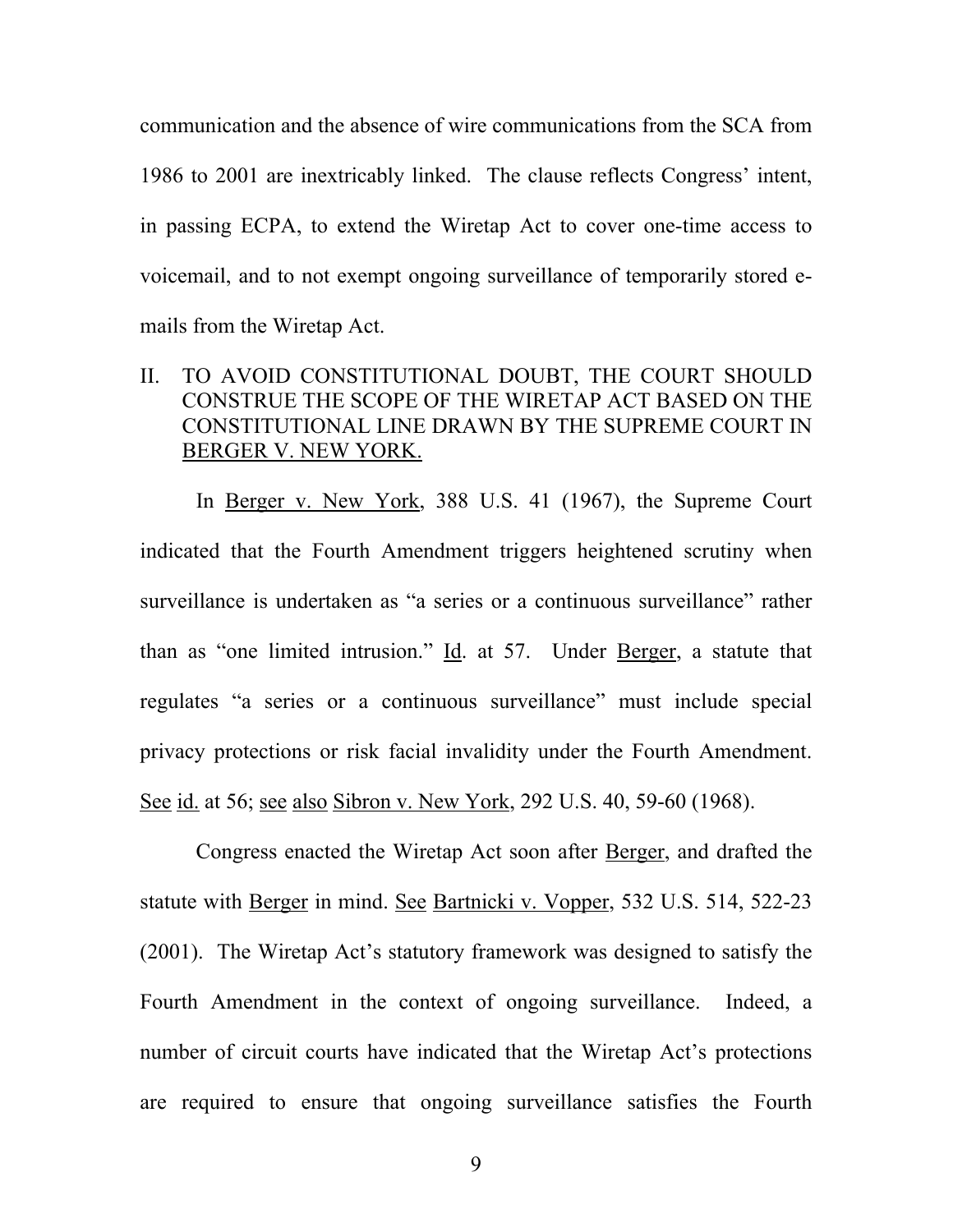communication and the absence of wire communications from the SCA from 1986 to 2001 are inextricably linked. The clause reflects Congress' intent, in passing ECPA, to extend the Wiretap Act to cover one-time access to voicemail, and to not exempt ongoing surveillance of temporarily stored emails from the Wiretap Act.

### II. TO AVOID CONSTITUTIONAL DOUBT, THE COURT SHOULD CONSTRUE THE SCOPE OF THE WIRETAP ACT BASED ON THE CONSTITUTIONAL LINE DRAWN BY THE SUPREME COURT IN BERGER V. NEW YORK.

In Berger v. New York, 388 U.S. 41 (1967), the Supreme Court indicated that the Fourth Amendment triggers heightened scrutiny when surveillance is undertaken as "a series or a continuous surveillance" rather than as "one limited intrusion." Id. at 57. Under Berger, a statute that regulates "a series or a continuous surveillance" must include special privacy protections or risk facial invalidity under the Fourth Amendment. See id. at 56; see also Sibron v. New York, 292 U.S. 40, 59-60 (1968).

Congress enacted the Wiretap Act soon after Berger, and drafted the statute with Berger in mind. See Bartnicki v. Vopper, 532 U.S. 514, 522-23 (2001). The Wiretap Act's statutory framework was designed to satisfy the Fourth Amendment in the context of ongoing surveillance. Indeed, a number of circuit courts have indicated that the Wiretap Act's protections are required to ensure that ongoing surveillance satisfies the Fourth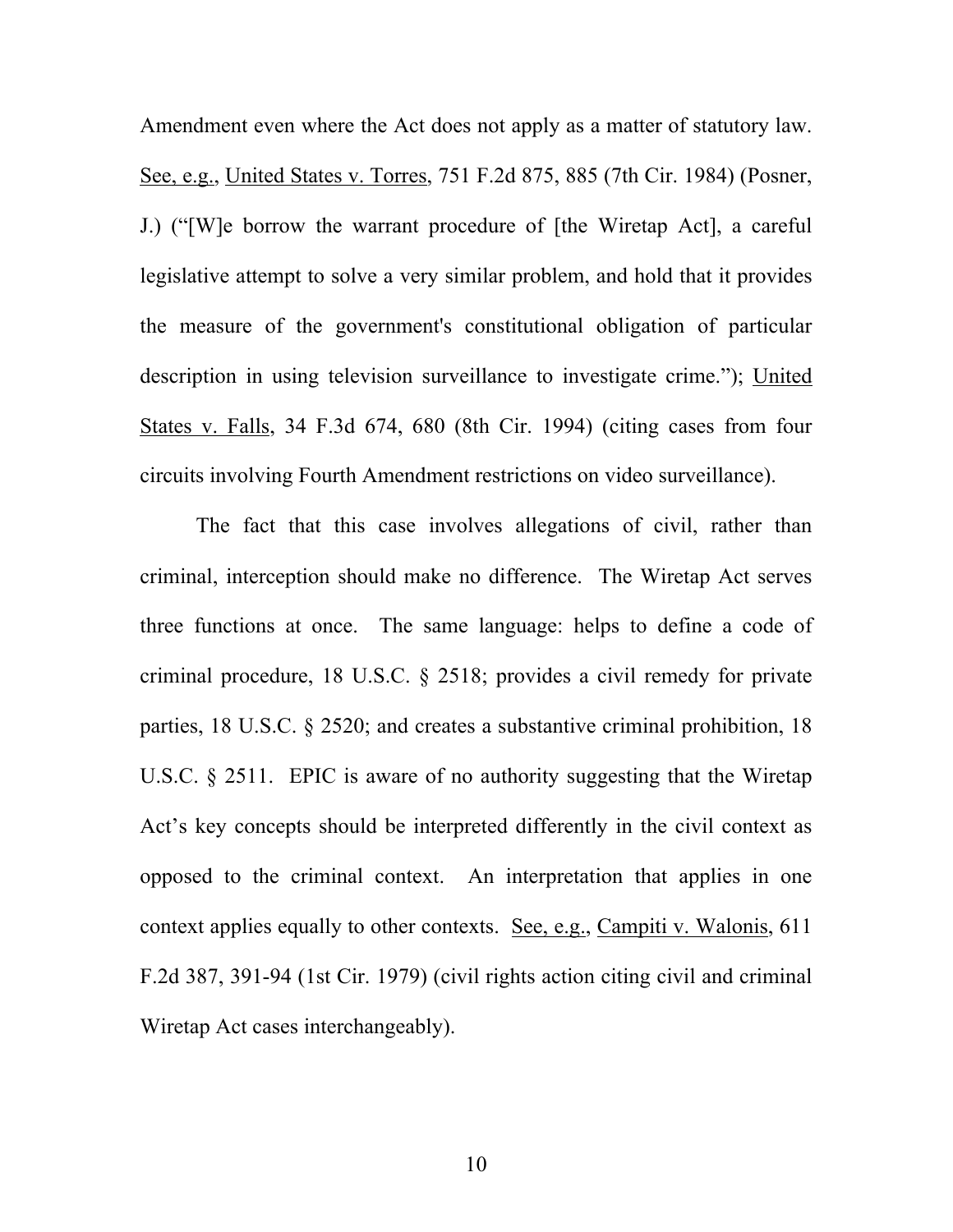Amendment even where the Act does not apply as a matter of statutory law. See, e.g., United States v. Torres, 751 F.2d 875, 885 (7th Cir. 1984) (Posner, J.) ("[W]e borrow the warrant procedure of [the Wiretap Act], a careful legislative attempt to solve a very similar problem, and hold that it provides the measure of the government's constitutional obligation of particular description in using television surveillance to investigate crime."); United States v. Falls, 34 F.3d 674, 680 (8th Cir. 1994) (citing cases from four circuits involving Fourth Amendment restrictions on video surveillance).

The fact that this case involves allegations of civil, rather than criminal, interception should make no difference. The Wiretap Act serves three functions at once. The same language: helps to define a code of criminal procedure, 18 U.S.C. § 2518; provides a civil remedy for private parties, 18 U.S.C. § 2520; and creates a substantive criminal prohibition, 18 U.S.C. § 2511. EPIC is aware of no authority suggesting that the Wiretap Act's key concepts should be interpreted differently in the civil context as opposed to the criminal context. An interpretation that applies in one context applies equally to other contexts. See, e.g., Campiti v. Walonis, 611 F.2d 387, 391-94 (1st Cir. 1979) (civil rights action citing civil and criminal Wiretap Act cases interchangeably).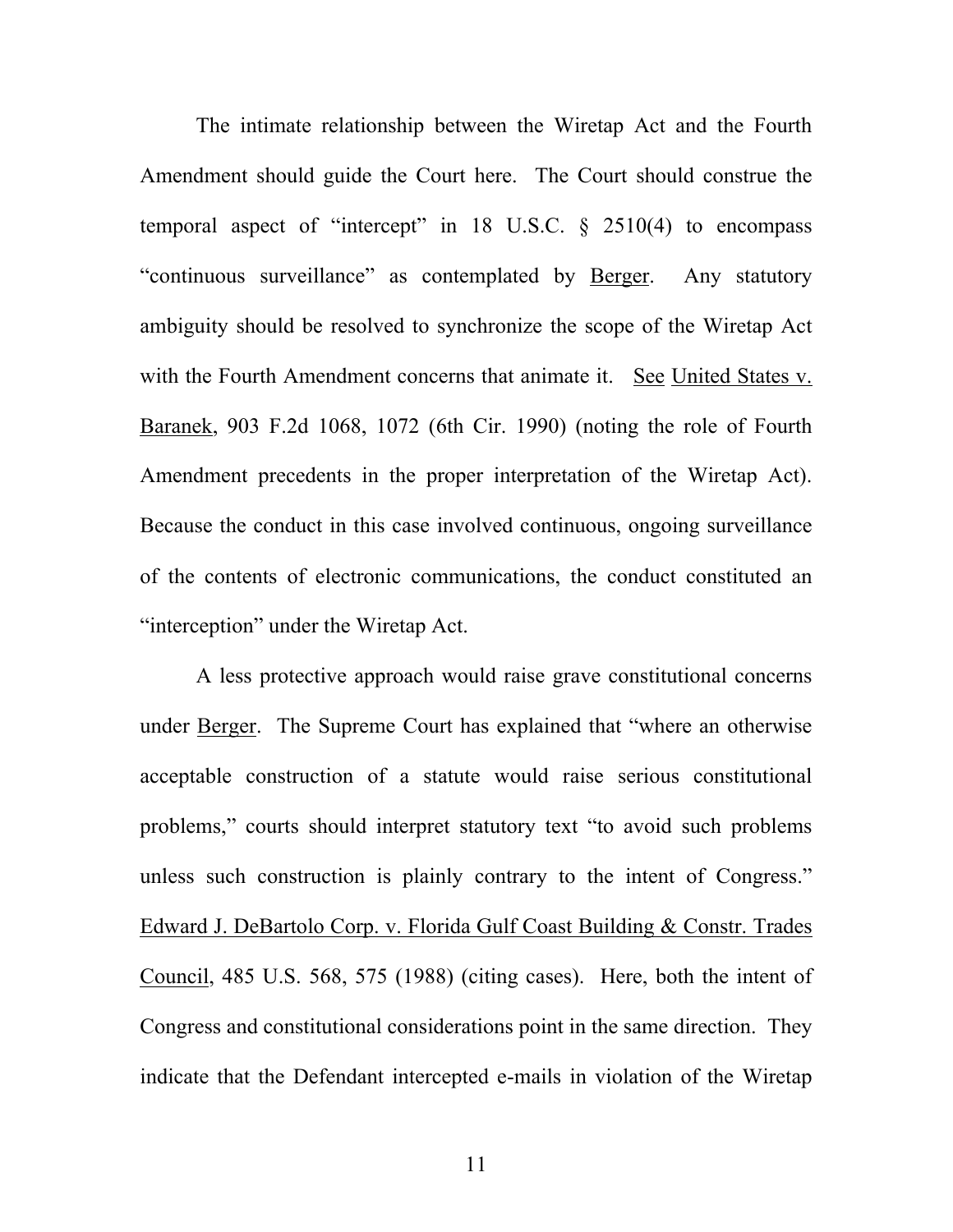The intimate relationship between the Wiretap Act and the Fourth Amendment should guide the Court here. The Court should construe the temporal aspect of "intercept" in 18 U.S.C.  $\frac{1}{2}$  2510(4) to encompass "continuous surveillance" as contemplated by Berger. Any statutory ambiguity should be resolved to synchronize the scope of the Wiretap Act with the Fourth Amendment concerns that animate it. See United States v. Baranek, 903 F.2d 1068, 1072 (6th Cir. 1990) (noting the role of Fourth Amendment precedents in the proper interpretation of the Wiretap Act). Because the conduct in this case involved continuous, ongoing surveillance of the contents of electronic communications, the conduct constituted an "interception" under the Wiretap Act.

A less protective approach would raise grave constitutional concerns under Berger. The Supreme Court has explained that "where an otherwise acceptable construction of a statute would raise serious constitutional problems," courts should interpret statutory text "to avoid such problems unless such construction is plainly contrary to the intent of Congress." Edward J. DeBartolo Corp. v. Florida Gulf Coast Building & Constr. Trades Council, 485 U.S. 568, 575 (1988) (citing cases). Here, both the intent of Congress and constitutional considerations point in the same direction. They indicate that the Defendant intercepted e-mails in violation of the Wiretap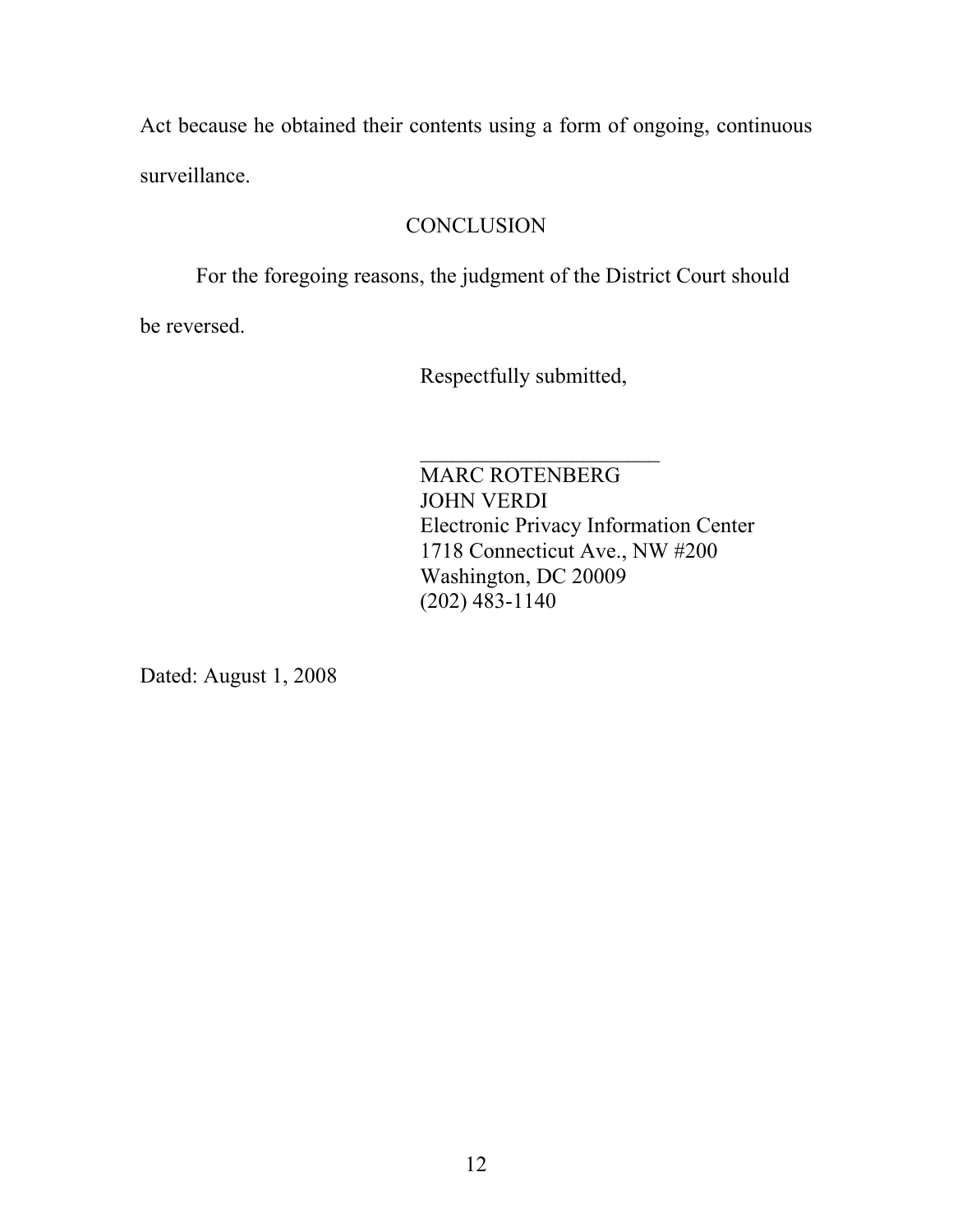Act because he obtained their contents using a form of ongoing, continuous surveillance.

### **CONCLUSION**

For the foregoing reasons, the judgment of the District Court should

be reversed.

Respectfully submitted,

 $\mathcal{L}_\text{max}$  , where  $\mathcal{L}_\text{max}$  , we have the set of  $\mathcal{L}_\text{max}$ MARC ROTENBERG JOHN VERDI Electronic Privacy Information Center 1718 Connecticut Ave., NW #200 Washington, DC 20009 (202) 483-1140

Dated: August 1, 2008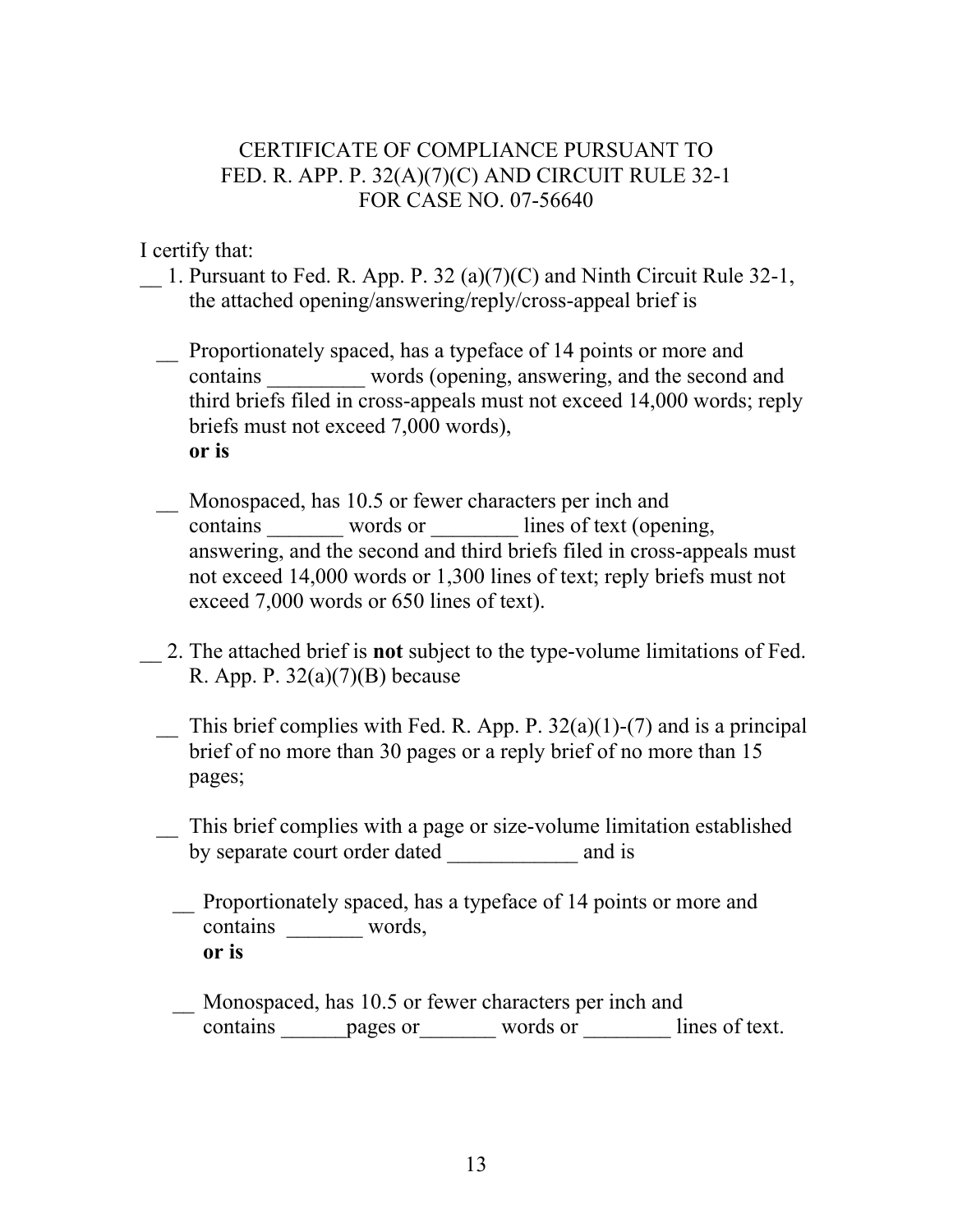### CERTIFICATE OF COMPLIANCE PURSUANT TO FED. R. APP. P. 32(A)(7)(C) AND CIRCUIT RULE 32-1 FOR CASE NO. 07-56640

I certify that:

- 1. Pursuant to Fed. R. App. P. 32 (a)(7)(C) and Ninth Circuit Rule 32-1, the attached opening/answering/reply/cross-appeal brief is
	- \_\_ Proportionately spaced, has a typeface of 14 points or more and contains words (opening, answering, and the second and third briefs filed in cross-appeals must not exceed 14,000 words; reply briefs must not exceed 7,000 words), **or is**
	- \_\_ Monospaced, has 10.5 or fewer characters per inch and contains words or lines of text (opening, answering, and the second and third briefs filed in cross-appeals must not exceed 14,000 words or 1,300 lines of text; reply briefs must not exceed 7,000 words or 650 lines of text).
- \_\_ 2. The attached brief is **not** subject to the type-volume limitations of Fed. R. App. P.  $32(a)(7)(B)$  because
	- $\overline{\phantom{a}}$  This brief complies with Fed. R. App. P. 32(a)(1)-(7) and is a principal brief of no more than 30 pages or a reply brief of no more than 15 pages;
	- \_\_ This brief complies with a page or size-volume limitation established by separate court order dated and is
		- \_\_ Proportionately spaced, has a typeface of 14 points or more and contains words, **or is**
		- \_\_ Monospaced, has 10.5 or fewer characters per inch and contains **pages or** words or lines of text.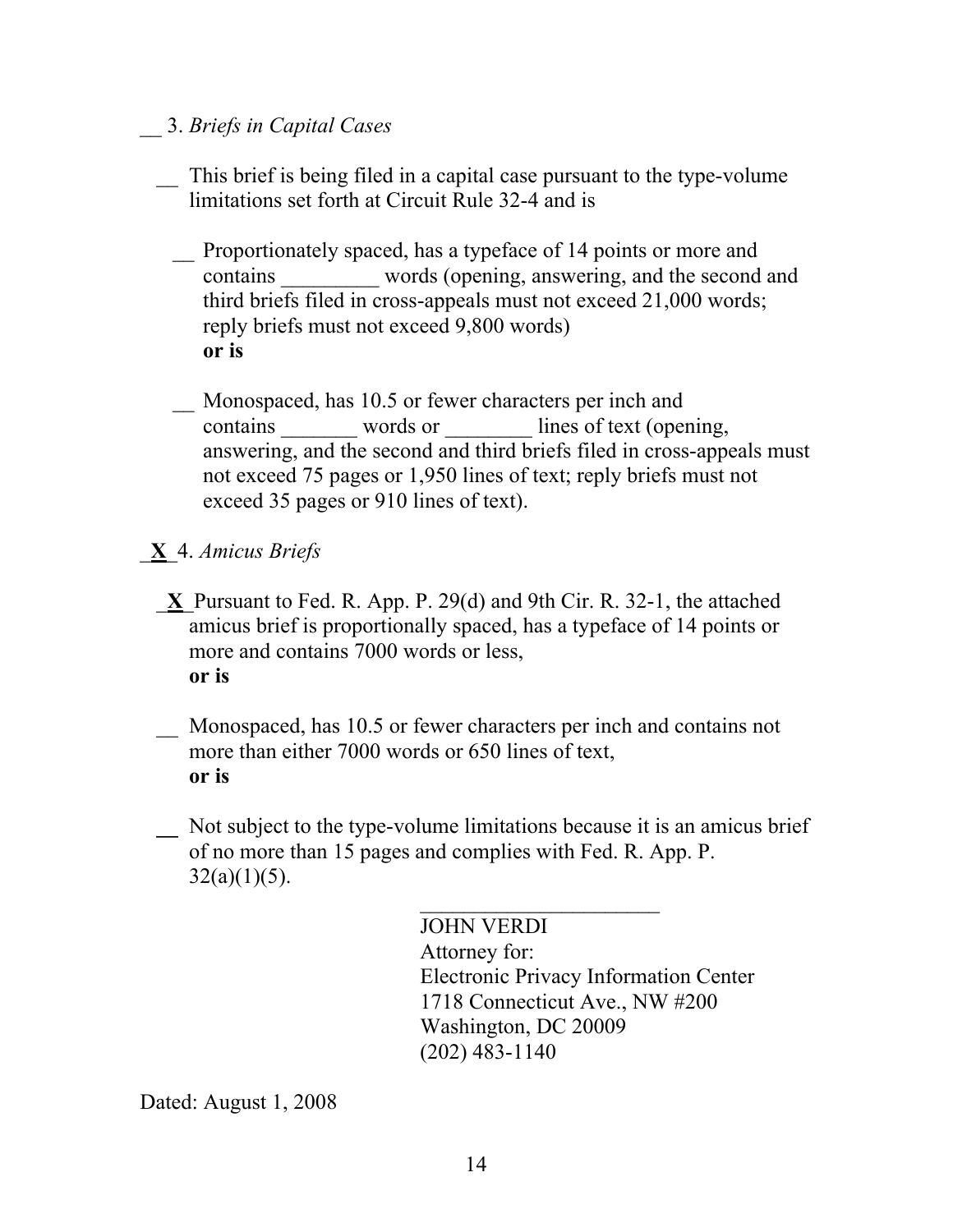- \_\_ 3. *Briefs in Capital Cases*
	- This brief is being filed in a capital case pursuant to the type-volume limitations set forth at Circuit Rule 32-4 and is
		- \_\_ Proportionately spaced, has a typeface of 14 points or more and contains words (opening, answering, and the second and third briefs filed in cross-appeals must not exceed 21,000 words; reply briefs must not exceed 9,800 words) **or is**
		- Monospaced, has 10.5 or fewer characters per inch and contains words or lines of text (opening, answering, and the second and third briefs filed in cross-appeals must not exceed 75 pages or 1,950 lines of text; reply briefs must not exceed 35 pages or 910 lines of text).
- \_**X**\_4. *Amicus Briefs*
	- \_**X**\_Pursuant to Fed. R. App. P. 29(d) and 9th Cir. R. 32-1, the attached amicus brief is proportionally spaced, has a typeface of 14 points or more and contains 7000 words or less, **or is**
	- Monospaced, has 10.5 or fewer characters per inch and contains not more than either 7000 words or 650 lines of text, **or is**
	- **\_\_** Not subject to the type-volume limitations because it is an amicus brief of no more than 15 pages and complies with Fed. R. App. P.  $32(a)(1)(5)$ .

JOHN VERDI Attorney for: Electronic Privacy Information Center 1718 Connecticut Ave., NW #200 Washington, DC 20009 (202) 483-1140

 $\mathcal{L}_\text{max}$  , where  $\mathcal{L}_\text{max}$  , we have the set of  $\mathcal{L}_\text{max}$ 

Dated: August 1, 2008